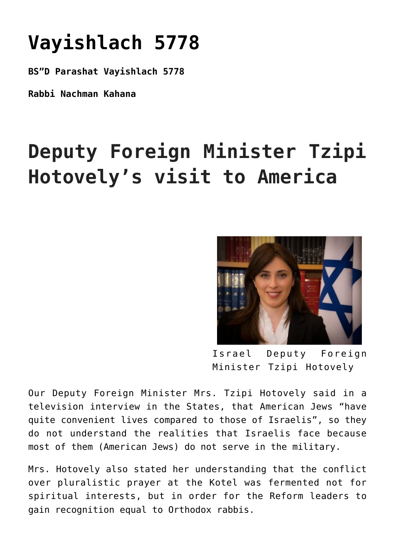## **[Vayishlach 5778](https://nachmankahana.com/parashat-vayishlach-5778/)**

**BS"D Parashat Vayishlach 5778**

**Rabbi Nachman Kahana**

## **Deputy Foreign Minister Tzipi Hotovely's visit to America**



Israel Deputy Foreign Minister Tzipi Hotovely

Our Deputy Foreign Minister Mrs. Tzipi Hotovely said in a television interview in the States, that American Jews "have quite convenient lives compared to those of Israelis", so they do not understand the realities that Israelis face because most of them (American Jews) do not serve in the military.

Mrs. Hotovely also stated her understanding that the conflict over pluralistic prayer at the Kotel was fermented not for spiritual interests, but in order for the Reform leaders to gain recognition equal to Orthodox rabbis.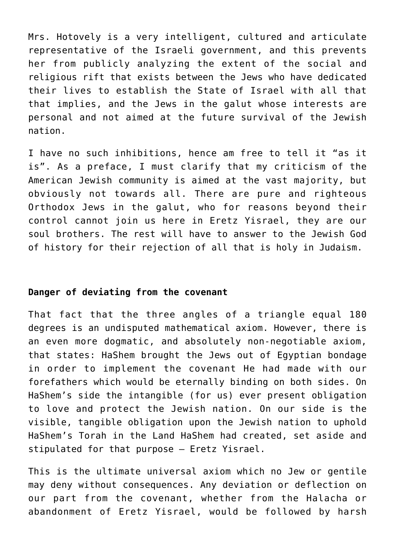Mrs. Hotovely is a very intelligent, cultured and articulate representative of the Israeli government, and this prevents her from publicly analyzing the extent of the social and religious rift that exists between the Jews who have dedicated their lives to establish the State of Israel with all that that implies, and the Jews in the galut whose interests are personal and not aimed at the future survival of the Jewish nation.

I have no such inhibitions, hence am free to tell it "as it is". As a preface, I must clarify that my criticism of the American Jewish community is aimed at the vast majority, but obviously not towards all. There are pure and righteous Orthodox Jews in the galut, who for reasons beyond their control cannot join us here in Eretz Yisrael, they are our soul brothers. The rest will have to answer to the Jewish God of history for their rejection of all that is holy in Judaism.

## **Danger of deviating from the covenant**

That fact that the three angles of a triangle equal 180 degrees is an undisputed mathematical axiom. However, there is an even more dogmatic, and absolutely non-negotiable axiom, that states: HaShem brought the Jews out of Egyptian bondage in order to implement the covenant He had made with our forefathers which would be eternally binding on both sides. On HaShem's side the intangible (for us) ever present obligation to love and protect the Jewish nation. On our side is the visible, tangible obligation upon the Jewish nation to uphold HaShem's Torah in the Land HaShem had created, set aside and stipulated for that purpose – Eretz Yisrael.

This is the ultimate universal axiom which no Jew or gentile may deny without consequences. Any deviation or deflection on our part from the covenant, whether from the Halacha or abandonment of Eretz Yisrael, would be followed by harsh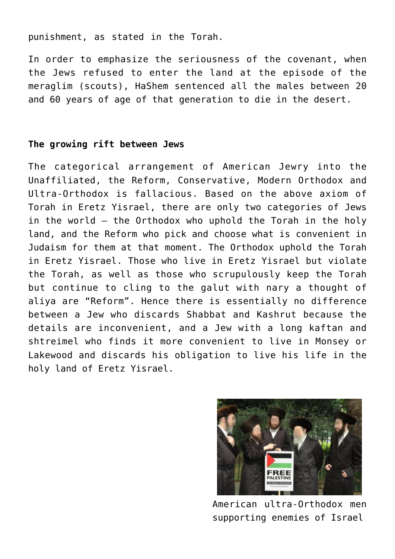punishment, as stated in the Torah.

In order to emphasize the seriousness of the covenant, when the Jews refused to enter the land at the episode of the meraglim (scouts), HaShem sentenced all the males between 20 and 60 years of age of that generation to die in the desert.

## **The growing rift between Jews**

The categorical arrangement of American Jewry into the Unaffiliated, the Reform, Conservative, Modern Orthodox and Ultra-Orthodox is fallacious. Based on the above axiom of Torah in Eretz Yisrael, there are only two categories of Jews in the world – the Orthodox who uphold the Torah in the holy land, and the Reform who pick and choose what is convenient in Judaism for them at that moment. The Orthodox uphold the Torah in Eretz Yisrael. Those who live in Eretz Yisrael but violate the Torah, as well as those who scrupulously keep the Torah but continue to cling to the galut with nary a thought of aliya are "Reform". Hence there is essentially no difference between a Jew who discards Shabbat and Kashrut because the details are inconvenient, and a Jew with a long kaftan and shtreimel who finds it more convenient to live in Monsey or Lakewood and discards his obligation to live his life in the holy land of Eretz Yisrael.



American ultra-Orthodox men supporting enemies of Israel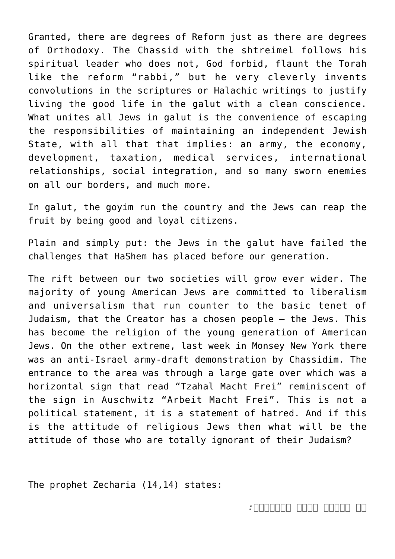Granted, there are degrees of Reform just as there are degrees of Orthodoxy. The Chassid with the shtreimel follows his spiritual leader who does not, God forbid, flaunt the Torah like the reform "rabbi," but he very cleverly invents convolutions in the scriptures or Halachic writings to justify living the good life in the galut with a clean conscience. What unites all Jews in galut is the convenience of escaping the responsibilities of maintaining an independent Jewish State, with all that that implies: an army, the economy, development, taxation, medical services, international relationships, social integration, and so many sworn enemies on all our borders, and much more.

In galut, the goyim run the country and the Jews can reap the fruit by being good and loyal citizens.

Plain and simply put: the Jews in the galut have failed the challenges that HaShem has placed before our generation.

The rift between our two societies will grow ever wider. The majority of young American Jews are committed to liberalism and universalism that run counter to the basic tenet of Judaism, that the Creator has a chosen people – the Jews. This has become the religion of the young generation of American Jews. On the other extreme, last week in Monsey New York there was an anti-Israel army-draft demonstration by Chassidim. The entrance to the area was through a large gate over which was a horizontal sign that read "Tzahal Macht Frei" reminiscent of the sign in Auschwitz "Arbeit Macht Frei". This is not a political statement, it is a statement of hatred. And if this is the attitude of religious Jews then what will be the attitude of those who are totally ignorant of their Judaism?

The prophet Zecharia (14,14) states: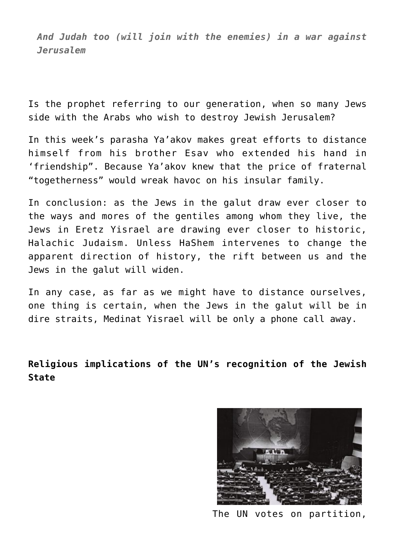*And Judah too (will join with the enemies) in a war against Jerusalem*

Is the prophet referring to our generation, when so many Jews side with the Arabs who wish to destroy Jewish Jerusalem?

In this week's parasha Ya'akov makes great efforts to distance himself from his brother Esav who extended his hand in 'friendship". Because Ya'akov knew that the price of fraternal "togetherness" would wreak havoc on his insular family.

In conclusion: as the Jews in the galut draw ever closer to the ways and mores of the gentiles among whom they live, the Jews in Eretz Yisrael are drawing ever closer to historic, Halachic Judaism. Unless HaShem intervenes to change the apparent direction of history, the rift between us and the Jews in the galut will widen.

In any case, as far as we might have to distance ourselves, one thing is certain, when the Jews in the galut will be in dire straits, Medinat Yisrael will be only a phone call away.

**Religious implications of the UN's recognition of the Jewish State**



The UN votes on partition,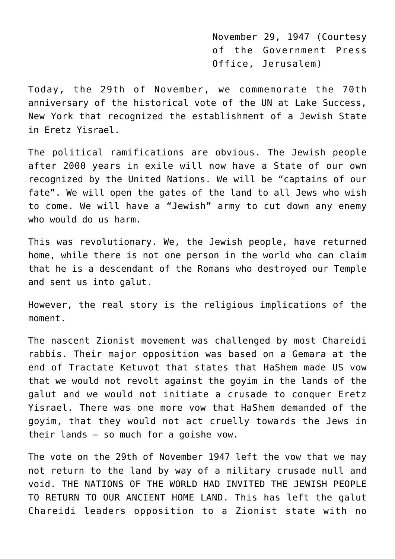November 29, 1947 (Courtesy of the Government Press Office, Jerusalem)

Today, the 29th of November, we commemorate the 70th anniversary of the historical vote of the UN at Lake Success, New York that recognized the establishment of a Jewish State in Eretz Yisrael.

The political ramifications are obvious. The Jewish people after 2000 years in exile will now have a State of our own recognized by the United Nations. We will be "captains of our fate". We will open the gates of the land to all Jews who wish to come. We will have a "Jewish" army to cut down any enemy who would do us harm.

This was revolutionary. We, the Jewish people, have returned home, while there is not one person in the world who can claim that he is a descendant of the Romans who destroyed our Temple and sent us into galut.

However, the real story is the religious implications of the moment.

The nascent Zionist movement was challenged by most Chareidi rabbis. Their major opposition was based on a Gemara at the end of Tractate Ketuvot that states that HaShem made US vow that we would not revolt against the goyim in the lands of the galut and we would not initiate a crusade to conquer Eretz Yisrael. There was one more vow that HaShem demanded of the goyim, that they would not act cruelly towards the Jews in their lands – so much for a goishe vow.

The vote on the 29th of November 1947 left the vow that we may not return to the land by way of a military crusade null and void. THE NATIONS OF THE WORLD HAD INVITED THE JEWISH PEOPLE TO RETURN TO OUR ANCIENT HOME LAND. This has left the galut Chareidi leaders opposition to a Zionist state with no